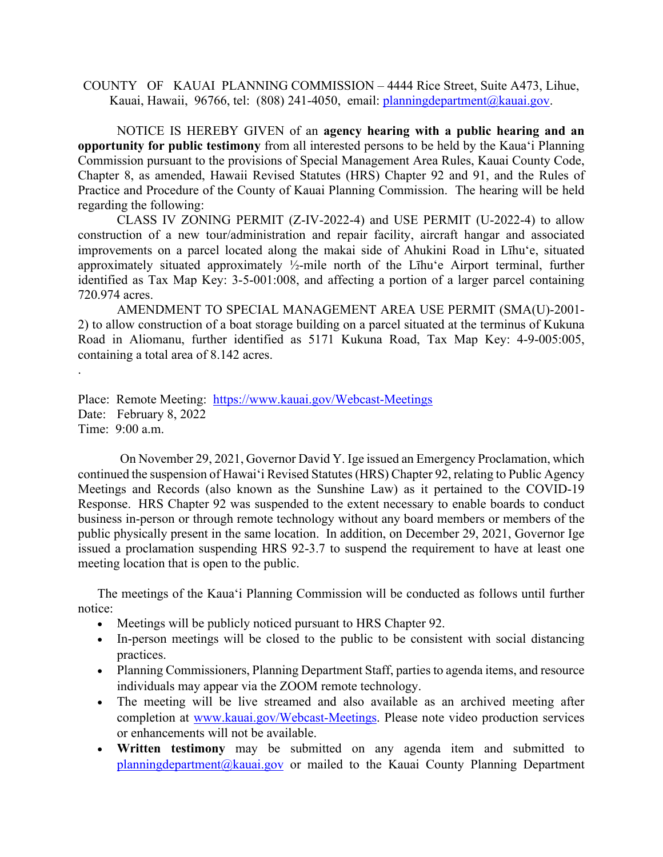COUNTY OF KAUAI PLANNING COMMISSION – 4444 Rice Street, Suite A473, Lihue, Kauai, Hawaii, 96766, tel: (808) 241-4050, email: [planningdepartment@kauai.gov.](mailto:planningdepartment@kauai.gov)

NOTICE IS HEREBY GIVEN of an **agency hearing with a public hearing and an opportunity for public testimony** from all interested persons to be held by the Kaua'i Planning Commission pursuant to the provisions of Special Management Area Rules, Kauai County Code, Chapter 8, as amended, Hawaii Revised Statutes (HRS) Chapter 92 and 91, and the Rules of Practice and Procedure of the County of Kauai Planning Commission. The hearing will be held regarding the following:

CLASS IV ZONING PERMIT (Z-IV-2022-4) and USE PERMIT (U-2022-4) to allow construction of a new tour/administration and repair facility, aircraft hangar and associated improvements on a parcel located along the makai side of Ahukini Road in Līhu'e, situated approximately situated approximately ½-mile north of the Līhu'e Airport terminal, further identified as Tax Map Key: 3-5-001:008, and affecting a portion of a larger parcel containing 720.974 acres.

AMENDMENT TO SPECIAL MANAGEMENT AREA USE PERMIT (SMA(U)-2001- 2) to allow construction of a boat storage building on a parcel situated at the terminus of Kukuna Road in Aliomanu, further identified as 5171 Kukuna Road, Tax Map Key: 4-9-005:005, containing a total area of 8.142 acres.

Place: Remote Meeting: <https://www.kauai.gov/Webcast-Meetings> Date: February 8, 2022 Time: 9:00 a.m.

.

On November 29, 2021, Governor David Y. Ige issued an Emergency Proclamation, which continued the suspension of Hawai'i Revised Statutes(HRS) Chapter 92, relating to Public Agency Meetings and Records (also known as the Sunshine Law) as it pertained to the COVID-19 Response. HRS Chapter 92 was suspended to the extent necessary to enable boards to conduct business in-person or through remote technology without any board members or members of the public physically present in the same location. In addition, on December 29, 2021, Governor Ige issued a proclamation suspending HRS 92-3.7 to suspend the requirement to have at least one meeting location that is open to the public.

The meetings of the Kaua'i Planning Commission will be conducted as follows until further notice:

- Meetings will be publicly noticed pursuant to HRS Chapter 92.
- In-person meetings will be closed to the public to be consistent with social distancing practices.
- Planning Commissioners, Planning Department Staff, parties to agenda items, and resource individuals may appear via the ZOOM remote technology.
- The meeting will be live streamed and also available as an archived meeting after completion at [www.kauai.gov/Webcast-Meetings.](http://www.kauai.gov/Webcast-Meetings) Please note video production services or enhancements will not be available.
- **Written testimony** may be submitted on any agenda item and submitted to [planningdepartment@kauai.gov](mailto:planningdepartment@kauai.gov) or mailed to the Kauai County Planning Department